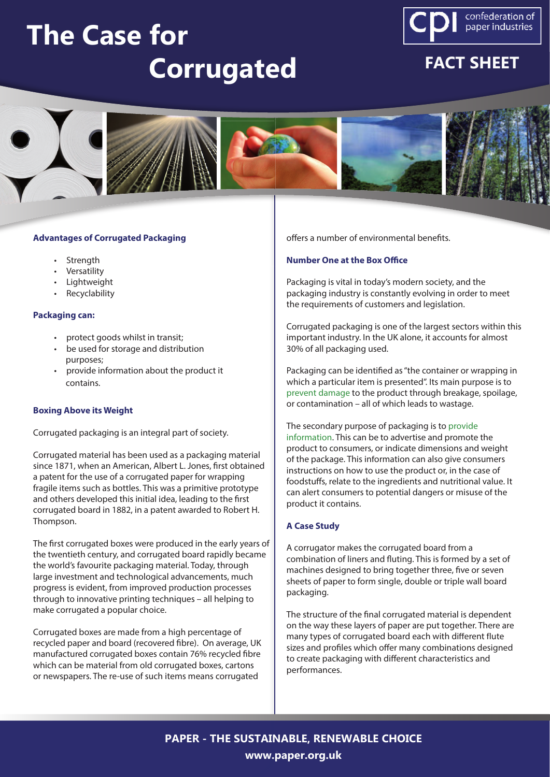# **The Case for Corrugated**



# **FACT SHEET**



#### **Advantages of Corrugated Packaging**

- Strength
- Versatility
- Lightweight
- Recyclability

#### **Packaging can:**

- protect goods whilst in transit;
- be used for storage and distribution purposes;
- provide information about the product it contains.

#### **Boxing Above its Weight**

Corrugated packaging is an integral part of society.

Corrugated material has been used as a packaging material since 1871, when an American, Albert L. Jones, first obtained a patent for the use of a corrugated paper for wrapping fragile items such as bottles. This was a primitive prototype and others developed this initial idea, leading to the first corrugated board in 1882, in a patent awarded to Robert H. Thompson.

The first corrugated boxes were produced in the early years of the twentieth century, and corrugated board rapidly became the world's favourite packaging material. Today, through large investment and technological advancements, much progress is evident, from improved production processes through to innovative printing techniques – all helping to make corrugated a popular choice.

Corrugated boxes are made from a high percentage of recycled paper and board (recovered fibre). On average, UK manufactured corrugated boxes contain 76% recycled fibre which can be material from old corrugated boxes, cartons or newspapers. The re-use of such items means corrugated

offers a number of environmental benefits.

### **Number One at the Box Office**

Packaging is vital in today's modern society, and the packaging industry is constantly evolving in order to meet the requirements of customers and legislation.

Corrugated packaging is one of the largest sectors within this important industry. In the UK alone, it accounts for almost 30% of all packaging used.

Packaging can be identified as "the container or wrapping in which a particular item is presented". Its main purpose is to prevent damage to the product through breakage, spoilage, or contamination – all of which leads to wastage.

The secondary purpose of packaging is to provide information. This can be to advertise and promote the product to consumers, or indicate dimensions and weight of the package. This information can also give consumers instructions on how to use the product or, in the case of foodstuffs, relate to the ingredients and nutritional value. It can alert consumers to potential dangers or misuse of the product it contains.

## **A Case Study**

A corrugator makes the corrugated board from a combination of liners and fluting. This is formed by a set of machines designed to bring together three, five or seven sheets of paper to form single, double or triple wall board packaging.

The structure of the final corrugated material is dependent on the way these layers of paper are put together. There are many types of corrugated board each with different flute sizes and profiles which offer many combinations designed to create packaging with different characteristics and performances.

**PAPER - THE SUSTAINABLE, RENEWABLE CHOICE www.paper.org.uk**